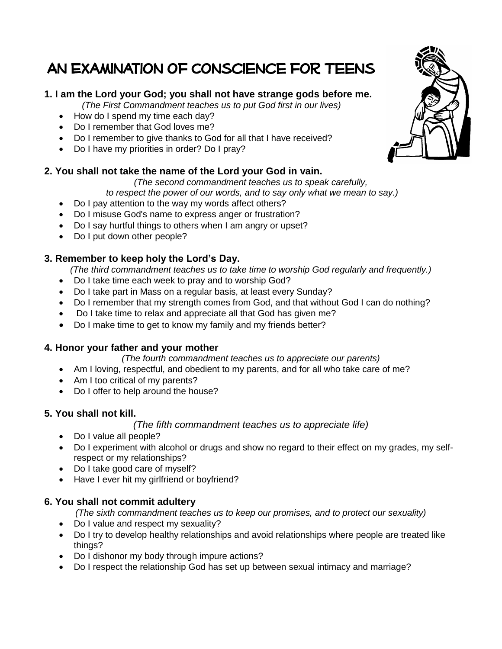# An Examination of Conscience for Teens

# **1. I am the Lord your God; you shall not have strange gods before me.**

*(The First Commandment teaches us to put God first in our lives)*

- How do I spend my time each day?
- Do I remember that God loves me?
- Do I remember to give thanks to God for all that I have received?
- Do I have my priorities in order? Do I pray?

# **2. You shall not take the name of the Lord your God in vain.**

*(The second commandment teaches us to speak carefully,*

*to respect the power of our words, and to say only what we mean to say.)*

- Do I pay attention to the way my words affect others?
- Do I misuse God's name to express anger or frustration?
- Do I say hurtful things to others when I am angry or upset?
- Do I put down other people?

# **3. Remember to keep holy the Lord's Day.**

*(The third commandment teaches us to take time to worship God regularly and frequently.)*

- Do I take time each week to pray and to worship God?
- Do I take part in Mass on a regular basis, at least every Sunday?
- Do I remember that my strength comes from God, and that without God I can do nothing?
- Do I take time to relax and appreciate all that God has given me?
- Do I make time to get to know my family and my friends better?

# **4. Honor your father and your mother**

#### *(The fourth commandment teaches us to appreciate our parents)*

- Am I loving, respectful, and obedient to my parents, and for all who take care of me?
- Am I too critical of my parents?
- Do I offer to help around the house?

# **5. You shall not kill.**

#### *(The fifth commandment teaches us to appreciate life)*

- Do I value all people?
- Do I experiment with alcohol or drugs and show no regard to their effect on my grades, my selfrespect or my relationships?
- Do I take good care of myself?
- Have I ever hit my girlfriend or boyfriend?

#### **6. You shall not commit adultery**

*(The sixth commandment teaches us to keep our promises, and to protect our sexuality)*

- Do I value and respect my sexuality?
- Do I try to develop healthy relationships and avoid relationships where people are treated like things?
- Do I dishonor my body through impure actions?
- Do I respect the relationship God has set up between sexual intimacy and marriage?